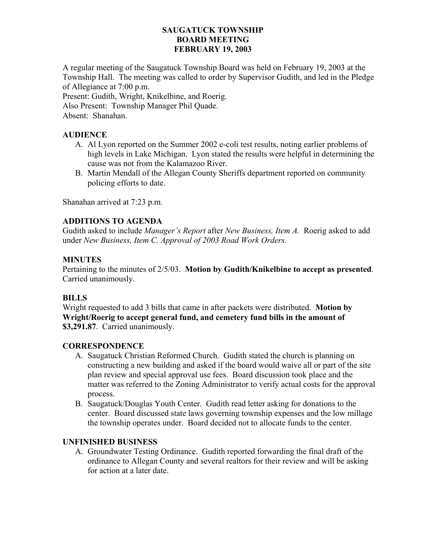## **SAUGATUCK TOWNSHIP BOARD MEETING FEBRUARY 19, 2003**

A regular meeting of the Saugatuck Township Board was held on February 19, 2003 at the Township Hall. The meeting was called to order by Supervisor Gudith, and led in the Pledge of Allegiance at 7:00 p.m.

Present: Gudith, Wright, Knikelbine, and Roerig.

Also Present: Township Manager Phil Quade.

Absent: Shanahan.

# **AUDIENCE**

- A. Al Lyon reported on the Summer 2002 e-coli test results, noting earlier problems of high levels in Lake Michigan. Lyon stated the results were helpful in determining the cause was not from the Kalamazoo River.
- B. Martin Mendall of the Allegan County Sheriffs department reported on community policing efforts to date.

Shanahan arrived at 7:23 p.m.

# **ADDITIONS TO AGENDA**

Gudith asked to include *Manager's Report* after *New Business, Item A.* Roerig asked to add under *New Business, Item C. Approval of 2003 Road Work Orders.*

# **MINUTES**

Pertaining to the minutes of 2/5/03. **Motion by Gudith/Knikelbine to accept as presented**. Carried unanimously.

## **BILLS**

Wright requested to add 3 bills that came in after packets were distributed. **Motion by Wright/Roerig to accept general fund, and cemetery fund bills in the amount of \$3,291.87**. Carried unanimously.

## **CORRESPONDENCE**

- A. Saugatuck Christian Reformed Church. Gudith stated the church is planning on constructing a new building and asked if the board would waive all or part of the site plan review and special approval use fees. Board discussion took place and the matter was referred to the Zoning Administrator to verify actual costs for the approval process.
- B. Saugatuck/Douglas Youth Center. Gudith read letter asking for donations to the center. Board discussed state laws governing township expenses and the low millage the township operates under. Board decided not to allocate funds to the center.

## **UNFINISHED BUSINESS**

A. Groundwater Testing Ordinance. Gudith reported forwarding the final draft of the ordinance to Allegan County and several realtors for their review and will be asking for action at a later date.